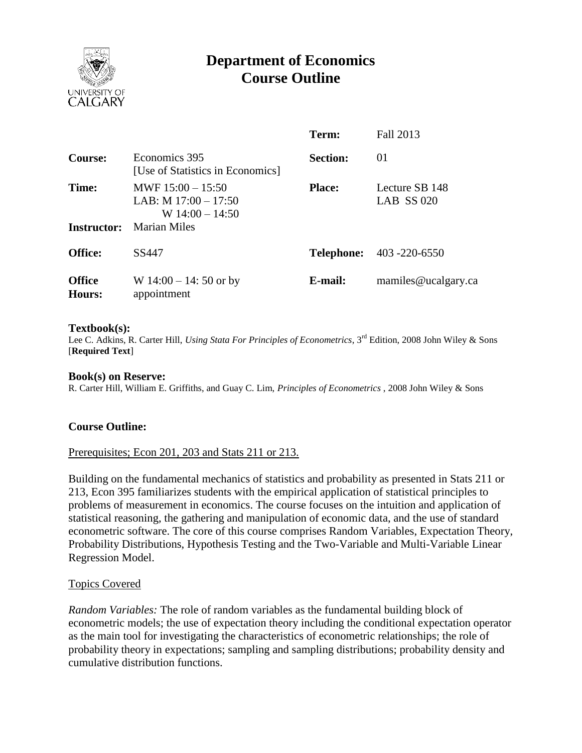

# **Department of Economics Course Outline**

|                             |                                                                                           | Term:             | Fall 2013                           |
|-----------------------------|-------------------------------------------------------------------------------------------|-------------------|-------------------------------------|
| Course:                     | Economics 395<br>[Use of Statistics in Economics]                                         | <b>Section:</b>   | 01                                  |
| Time:<br><b>Instructor:</b> | MWF $15:00 - 15:50$<br>LAB: M $17:00 - 17:50$<br>W $14:00 - 14:50$<br><b>Marian Miles</b> | <b>Place:</b>     | Lecture SB 148<br><b>LAB SS 020</b> |
| <b>Office:</b>              | SS447                                                                                     | <b>Telephone:</b> | 403 -220 -6550                      |
| <b>Office</b><br>Hours:     | W $14:00 - 14$ : 50 or by<br>appointment                                                  | E-mail:           | mamiles@ucalgary.ca                 |

#### **Textbook(s):**

Lee C. Adkins, R. Carter Hill, *Using Stata For Principles of Econometrics*, 3<sup>rd</sup> Edition, 2008 John Wiley & Sons [**Required Text**]

#### **Book(s) on Reserve:**

R. Carter Hill, William E. Griffiths, and Guay C. Lim, *Principles of Econometrics* , 2008 John Wiley & Sons

### **Course Outline:**

### Prerequisites; Econ 201, 203 and Stats 211 or 213.

Building on the fundamental mechanics of statistics and probability as presented in Stats 211 or 213, Econ 395 familiarizes students with the empirical application of statistical principles to problems of measurement in economics. The course focuses on the intuition and application of statistical reasoning, the gathering and manipulation of economic data, and the use of standard econometric software. The core of this course comprises Random Variables, Expectation Theory, Probability Distributions, Hypothesis Testing and the Two-Variable and Multi-Variable Linear Regression Model.

### Topics Covered

*Random Variables:* The role of random variables as the fundamental building block of econometric models; the use of expectation theory including the conditional expectation operator as the main tool for investigating the characteristics of econometric relationships; the role of probability theory in expectations; sampling and sampling distributions; probability density and cumulative distribution functions.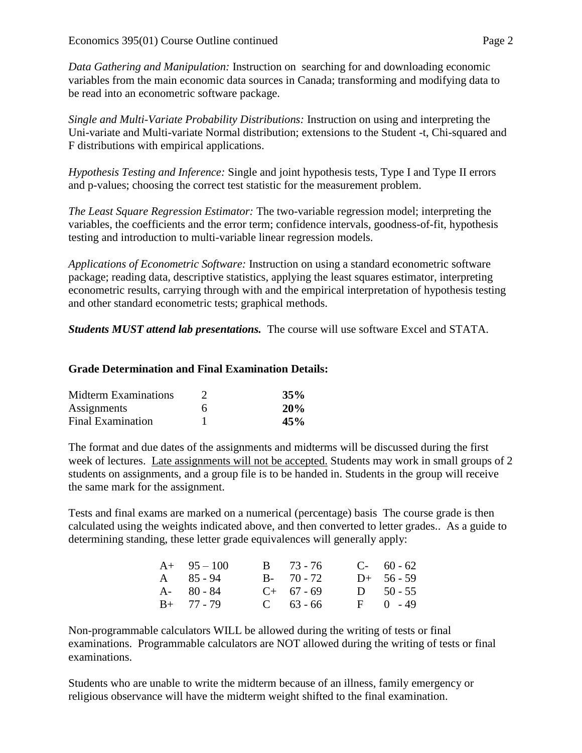*Data Gathering and Manipulation:* Instruction on searching for and downloading economic variables from the main economic data sources in Canada; transforming and modifying data to be read into an econometric software package.

*Single and Multi-Variate Probability Distributions:* Instruction on using and interpreting the Uni-variate and Multi-variate Normal distribution; extensions to the Student -t, Chi-squared and F distributions with empirical applications.

*Hypothesis Testing and Inference:* Single and joint hypothesis tests, Type I and Type II errors and p-values; choosing the correct test statistic for the measurement problem.

*The Least Square Regression Estimator:* The two-variable regression model; interpreting the variables, the coefficients and the error term; confidence intervals, goodness-of-fit, hypothesis testing and introduction to multi-variable linear regression models.

*Applications of Econometric Software:* Instruction on using a standard econometric software package; reading data, descriptive statistics, applying the least squares estimator, interpreting econometric results, carrying through with and the empirical interpretation of hypothesis testing and other standard econometric tests; graphical methods.

*Students MUST attend lab presentations.* The course will use software Excel and STATA.

# **Grade Determination and Final Examination Details:**

| <b>Midterm Examinations</b> |   | 35% |
|-----------------------------|---|-----|
| Assignments                 | 6 | 20% |
| <b>Final Examination</b>    |   | 45% |

The format and due dates of the assignments and midterms will be discussed during the first week of lectures. Late assignments will not be accepted. Students may work in small groups of 2 students on assignments, and a group file is to be handed in. Students in the group will receive the same mark for the assignment.

Tests and final exams are marked on a numerical (percentage) basis The course grade is then calculated using the weights indicated above, and then converted to letter grades.. As a guide to determining standing, these letter grade equivalences will generally apply:

| $A+ 95-100$       | $B = 73 - 76$ | $C-60-62$     |
|-------------------|---------------|---------------|
| $A \quad 85 - 94$ | $B - 70 - 72$ | $D+ 56 - 59$  |
| $A - 80 - 84$     | $C+ 67 - 69$  | $D = 50 - 55$ |
| $B+ 77 - 79$      | $C = 63 - 66$ | $F = 0 - 49$  |

Non-programmable calculators WILL be allowed during the writing of tests or final examinations. Programmable calculators are NOT allowed during the writing of tests or final examinations.

Students who are unable to write the midterm because of an illness, family emergency or religious observance will have the midterm weight shifted to the final examination.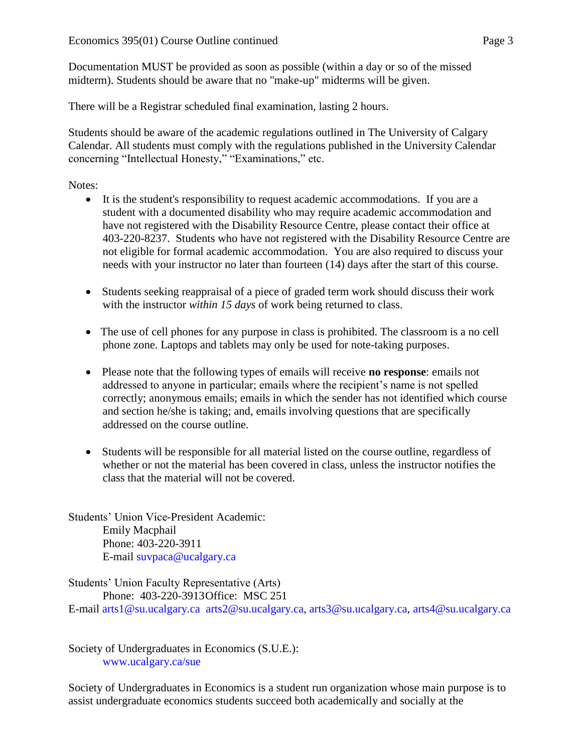Documentation MUST be provided as soon as possible (within a day or so of the missed midterm). Students should be aware that no "make-up" midterms will be given.

There will be a Registrar scheduled final examination, lasting 2 hours.

Students should be aware of the academic regulations outlined in The University of Calgary Calendar. All students must comply with the regulations published in the University Calendar concerning "Intellectual Honesty," "Examinations," etc.

Notes:

- It is the student's responsibility to request academic accommodations. If you are a student with a documented disability who may require academic accommodation and have not registered with the Disability Resource Centre, please contact their office at 403-220-8237. Students who have not registered with the Disability Resource Centre are not eligible for formal academic accommodation. You are also required to discuss your needs with your instructor no later than fourteen (14) days after the start of this course.
- Students seeking reappraisal of a piece of graded term work should discuss their work with the instructor *within 15 days* of work being returned to class.
- The use of cell phones for any purpose in class is prohibited. The classroom is a no cell phone zone. Laptops and tablets may only be used for note-taking purposes.
- Please note that the following types of emails will receive **no response**: emails not addressed to anyone in particular; emails where the recipient's name is not spelled correctly; anonymous emails; emails in which the sender has not identified which course and section he/she is taking; and, emails involving questions that are specifically addressed on the course outline.
- Students will be responsible for all material listed on the course outline, regardless of whether or not the material has been covered in class, unless the instructor notifies the class that the material will not be covered.

Students' Union Vice-President Academic: Emily Macphail Phone: 403-220-3911 E-mail [suvpaca@ucalgary.ca](mailto:subpaca@ucalgary.ca)

Students' Union Faculty Representative (Arts) Phone: 403-220-3913Office: MSC 251 E-mail [arts1@su.ucalgary.ca](mailto:arts1@su.ucalgary.ca) [arts2@su.ucalgary.ca,](mailto:arts2@su.ucalgary.ca) [arts3@su.ucalgary.ca,](mailto:arts3@su.ucalgary.ca) [arts4@su.ucalgary.ca](mailto:arts4@su.ucalgary.ca)

Society of Undergraduates in Economics (S.U.E.): [www.ucalgary.ca/sue](http://www.fp.ucalgary.ca/econ)

Society of Undergraduates in Economics is a student run organization whose main purpose is to assist undergraduate economics students succeed both academically and socially at the